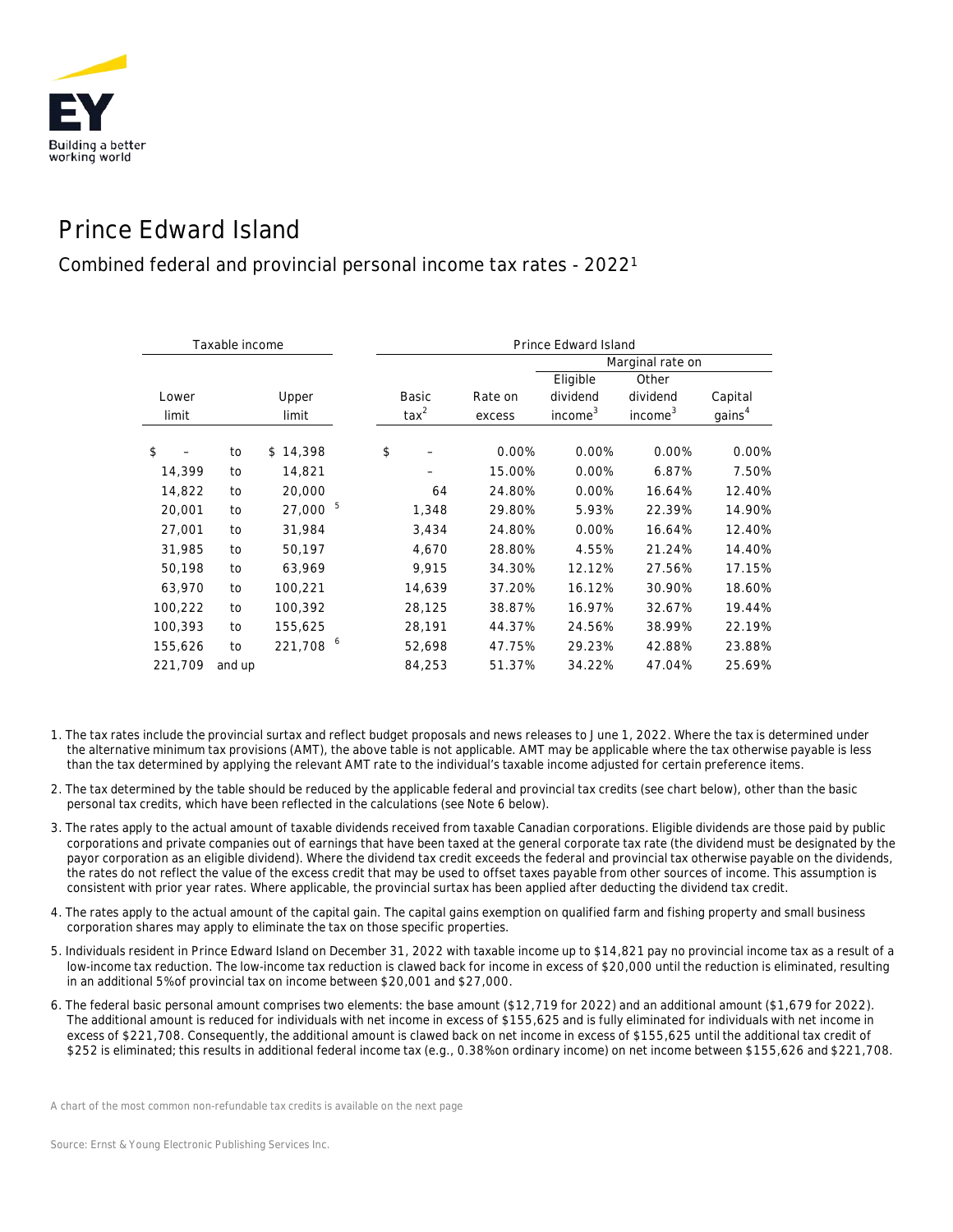

## Prince Edward Island

## Combined federal and provincial personal income tax rates - 20221

| Taxable income |        |          |    | Prince Edward Island |         |                     |                     |                    |  |  |
|----------------|--------|----------|----|----------------------|---------|---------------------|---------------------|--------------------|--|--|
|                |        |          |    |                      |         |                     | Marginal rate on    |                    |  |  |
|                |        |          |    |                      |         | Eligible            | Other               |                    |  |  |
| Lower          |        | Upper    |    | Basic                | Rate on | dividend            | dividend            | Capital            |  |  |
| limit          |        | limit    |    | $\text{tax}^2$       | excess  | income <sup>3</sup> | income <sup>3</sup> | gains <sup>4</sup> |  |  |
| \$             | to     | \$14,398 | \$ |                      | 0.00%   | 0.00%               | 0.00%               | 0.00%              |  |  |
| 14,399         | to     | 14,821   |    |                      | 15.00%  | 0.00%               | 6.87%               | 7.50%              |  |  |
| 14,822         | to     | 20,000   |    | 64                   | 24.80%  | 0.00%               | 16.64%              | 12.40%             |  |  |
| 20,001         | to     | 27,000   | 5  | 1,348                | 29.80%  | 5.93%               | 22.39%              | 14.90%             |  |  |
| 27,001         | to     | 31,984   |    | 3,434                | 24.80%  | 0.00%               | 16.64%              | 12.40%             |  |  |
| 31,985         | to     | 50,197   |    | 4,670                | 28.80%  | 4.55%               | 21.24%              | 14.40%             |  |  |
| 50,198         | to     | 63,969   |    | 9,915                | 34.30%  | 12.12%              | 27.56%              | 17.15%             |  |  |
| 63,970         | to     | 100,221  |    | 14,639               | 37.20%  | 16.12%              | 30.90%              | 18.60%             |  |  |
| 100,222        | to     | 100,392  |    | 28,125               | 38.87%  | 16.97%              | 32.67%              | 19.44%             |  |  |
| 100,393        | to     | 155,625  |    | 28,191               | 44.37%  | 24.56%              | 38.99%              | 22.19%             |  |  |
| 155,626        | to     | 221,708  | 6  | 52,698               | 47.75%  | 29.23%              | 42.88%              | 23.88%             |  |  |
| 221,709        | and up |          |    | 84,253               | 51.37%  | 34.22%              | 47.04%              | 25.69%             |  |  |

- 1. The tax rates include the provincial surtax and reflect budget proposals and news releases to June 1, 2022. Where the tax is determined under the alternative minimum tax provisions (AMT), the above table is not applicable. AMT may be applicable where the tax otherwise payable is less than the tax determined by applying the relevant AMT rate to the individual's taxable income adjusted for certain preference items.
- 2. The tax determined by the table should be reduced by the applicable federal and provincial tax credits (see chart below), other than the basic personal tax credits, which have been reflected in the calculations (see Note 6 below).
- 3. The rates apply to the actual amount of taxable dividends received from taxable Canadian corporations. Eligible dividends are those paid by public corporations and private companies out of earnings that have been taxed at the general corporate tax rate (the dividend must be designated by the payor corporation as an eligible dividend). Where the dividend tax credit exceeds the federal and provincial tax otherwise payable on the dividends, the rates do not reflect the value of the excess credit that may be used to offset taxes payable from other sources of income. This assumption is consistent with prior year rates. Where applicable, the provincial surtax has been applied after deducting the dividend tax credit.
- 4. The rates apply to the actual amount of the capital gain. The capital gains exemption on qualified farm and fishing property and small business corporation shares may apply to eliminate the tax on those specific properties.
- 5. Individuals resident in Prince Edward Island on December 31, 2022 with taxable income up to \$14,821 pay no provincial income tax as a result of a low-income tax reduction. The low-income tax reduction is clawed back for income in excess of \$20,000 until the reduction is eliminated, resulting in an additional 5% of provincial tax on income between \$20,001 and \$27,000.
- 6. The federal basic personal amount comprises two elements: the base amount (\$12,719 for 2022) and an additional amount (\$1,679 for 2022). The additional amount is reduced for individuals with net income in excess of \$155,625 and is fully eliminated for individuals with net income in excess of \$221,708. Consequently, the additional amount is clawed back on net income in excess of \$155,625 until the additional tax credit of \$252 is eliminated; this results in additional federal income tax (e.g., 0.38% on ordinary income) on net income between \$155,626 and \$221,708.

*A chart of the most common non-refundable tax credits is available on the next page*

*Source: Ernst & Young Electronic Publishing Services Inc.*